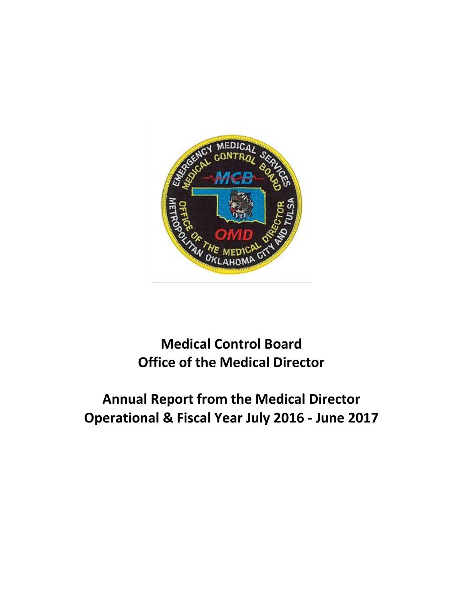

# **Medical Control Board Office of the Medical Director**

# **Annual Report from the Medical Director Operational & Fiscal Year July 2016 - June 2017**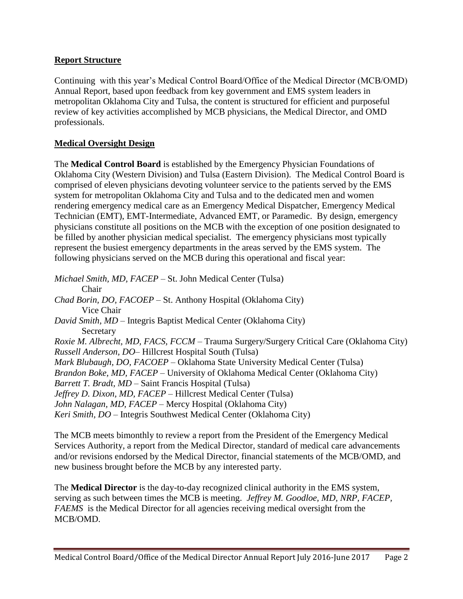#### **Report Structure**

Continuing with this year's Medical Control Board/Office of the Medical Director (MCB/OMD) Annual Report, based upon feedback from key government and EMS system leaders in metropolitan Oklahoma City and Tulsa, the content is structured for efficient and purposeful review of key activities accomplished by MCB physicians, the Medical Director, and OMD professionals.

#### **Medical Oversight Design**

The **Medical Control Board** is established by the Emergency Physician Foundations of Oklahoma City (Western Division) and Tulsa (Eastern Division). The Medical Control Board is comprised of eleven physicians devoting volunteer service to the patients served by the EMS system for metropolitan Oklahoma City and Tulsa and to the dedicated men and women rendering emergency medical care as an Emergency Medical Dispatcher, Emergency Medical Technician (EMT), EMT-Intermediate, Advanced EMT, or Paramedic. By design, emergency physicians constitute all positions on the MCB with the exception of one position designated to be filled by another physician medical specialist. The emergency physicians most typically represent the busiest emergency departments in the areas served by the EMS system. The following physicians served on the MCB during this operational and fiscal year:

*Michael Smith, MD, FACEP* – St. John Medical Center (Tulsa) Chair *Chad Borin, DO, FACOEP* – St. Anthony Hospital (Oklahoma City) Vice Chair *David Smith, MD* – Integris Baptist Medical Center (Oklahoma City) Secretary *Roxie M. Albrecht, MD, FACS, FCCM* – Trauma Surgery/Surgery Critical Care (Oklahoma City) *Russell Anderson, DO*– Hillcrest Hospital South (Tulsa) *Mark Blubaugh, DO, FACOEP* – Oklahoma State University Medical Center (Tulsa) *Brandon Boke, MD, FACEP* – University of Oklahoma Medical Center (Oklahoma City) *Barrett T. Bradt, MD* – Saint Francis Hospital (Tulsa) *Jeffrey D. Dixon, MD, FACEP* – Hillcrest Medical Center (Tulsa) *John Nalagan, MD, FACEP* – Mercy Hospital (Oklahoma City) *Keri Smith, DO* – Integris Southwest Medical Center (Oklahoma City)

The MCB meets bimonthly to review a report from the President of the Emergency Medical Services Authority, a report from the Medical Director, standard of medical care advancements and/or revisions endorsed by the Medical Director, financial statements of the MCB/OMD, and new business brought before the MCB by any interested party.

The **Medical Director** is the day-to-day recognized clinical authority in the EMS system, serving as such between times the MCB is meeting. *Jeffrey M. Goodloe, MD, NRP, FACEP, FAEMS* is the Medical Director for all agencies receiving medical oversight from the MCB/OMD.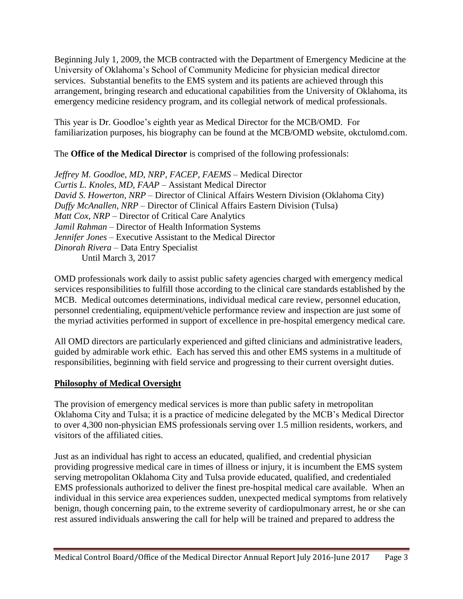Beginning July 1, 2009, the MCB contracted with the Department of Emergency Medicine at the University of Oklahoma's School of Community Medicine for physician medical director services. Substantial benefits to the EMS system and its patients are achieved through this arrangement, bringing research and educational capabilities from the University of Oklahoma, its emergency medicine residency program, and its collegial network of medical professionals.

This year is Dr. Goodloe's eighth year as Medical Director for the MCB/OMD. For familiarization purposes, his biography can be found at the MCB/OMD website, okctulomd.com.

The **Office of the Medical Director** is comprised of the following professionals:

*Jeffrey M. Goodloe, MD, NRP, FACEP, FAEMS* – Medical Director *Curtis L. Knoles, MD, FAAP* – Assistant Medical Director *David S. Howerton, NRP* – Director of Clinical Affairs Western Division (Oklahoma City) *Duffy McAnallen, NRP* – Director of Clinical Affairs Eastern Division (Tulsa) *Matt Cox, NRP* – Director of Critical Care Analytics *Jamil Rahman* – Director of Health Information Systems *Jennifer Jones* – Executive Assistant to the Medical Director *Dinorah Rivera* – Data Entry Specialist Until March 3, 2017

OMD professionals work daily to assist public safety agencies charged with emergency medical services responsibilities to fulfill those according to the clinical care standards established by the MCB. Medical outcomes determinations, individual medical care review, personnel education, personnel credentialing, equipment/vehicle performance review and inspection are just some of the myriad activities performed in support of excellence in pre-hospital emergency medical care.

All OMD directors are particularly experienced and gifted clinicians and administrative leaders, guided by admirable work ethic. Each has served this and other EMS systems in a multitude of responsibilities, beginning with field service and progressing to their current oversight duties.

## **Philosophy of Medical Oversight**

The provision of emergency medical services is more than public safety in metropolitan Oklahoma City and Tulsa; it is a practice of medicine delegated by the MCB's Medical Director to over 4,300 non-physician EMS professionals serving over 1.5 million residents, workers, and visitors of the affiliated cities.

Just as an individual has right to access an educated, qualified, and credential physician providing progressive medical care in times of illness or injury, it is incumbent the EMS system serving metropolitan Oklahoma City and Tulsa provide educated, qualified, and credentialed EMS professionals authorized to deliver the finest pre-hospital medical care available. When an individual in this service area experiences sudden, unexpected medical symptoms from relatively benign, though concerning pain, to the extreme severity of cardiopulmonary arrest, he or she can rest assured individuals answering the call for help will be trained and prepared to address the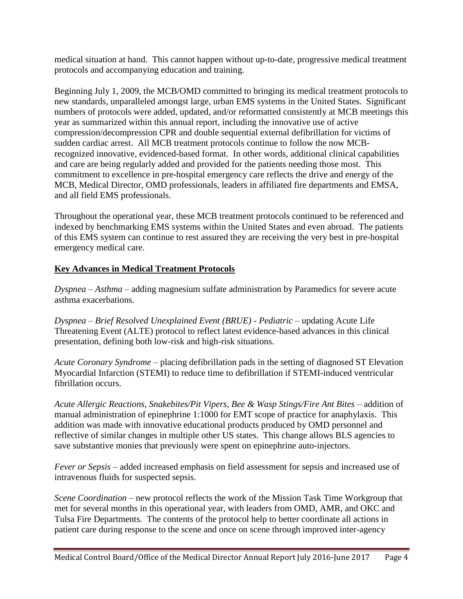medical situation at hand. This cannot happen without up-to-date, progressive medical treatment protocols and accompanying education and training.

Beginning July 1, 2009, the MCB/OMD committed to bringing its medical treatment protocols to new standards, unparalleled amongst large, urban EMS systems in the United States. Significant numbers of protocols were added, updated, and/or reformatted consistently at MCB meetings this year as summarized within this annual report, including the innovative use of active compression/decompression CPR and double sequential external defibrillation for victims of sudden cardiac arrest. All MCB treatment protocols continue to follow the now MCBrecognized innovative, evidenced-based format. In other words, additional clinical capabilities and care are being regularly added and provided for the patients needing those most. This commitment to excellence in pre-hospital emergency care reflects the drive and energy of the MCB, Medical Director, OMD professionals, leaders in affiliated fire departments and EMSA, and all field EMS professionals.

Throughout the operational year, these MCB treatment protocols continued to be referenced and indexed by benchmarking EMS systems within the United States and even abroad. The patients of this EMS system can continue to rest assured they are receiving the very best in pre-hospital emergency medical care.

### **Key Advances in Medical Treatment Protocols**

*Dyspnea – Asthma* – adding magnesium sulfate administration by Paramedics for severe acute asthma exacerbations.

*Dyspnea – Brief Resolved Unexplained Event (BRUE) - Pediatric* – updating Acute Life Threatening Event (ALTE) protocol to reflect latest evidence-based advances in this clinical presentation, defining both low-risk and high-risk situations.

*Acute Coronary Syndrome* – placing defibrillation pads in the setting of diagnosed ST Elevation Myocardial Infarction (STEMI) to reduce time to defibrillation if STEMI-induced ventricular fibrillation occurs.

*Acute Allergic Reactions, Snakebites/Pit Vipers, Bee & Wasp Stings/Fire Ant Bites* – addition of manual administration of epinephrine 1:1000 for EMT scope of practice for anaphylaxis. This addition was made with innovative educational products produced by OMD personnel and reflective of similar changes in multiple other US states. This change allows BLS agencies to save substantive monies that previously were spent on epinephrine auto-injectors.

*Fever or Sepsis* – added increased emphasis on field assessment for sepsis and increased use of intravenous fluids for suspected sepsis.

*Scene Coordination –* new protocol reflects the work of the Mission Task Time Workgroup that met for several months in this operational year, with leaders from OMD, AMR, and OKC and Tulsa Fire Departments. The contents of the protocol help to better coordinate all actions in patient care during response to the scene and once on scene through improved inter-agency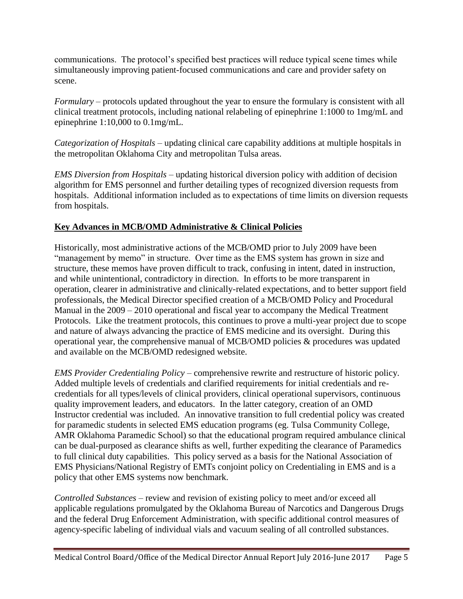communications. The protocol's specified best practices will reduce typical scene times while simultaneously improving patient-focused communications and care and provider safety on scene.

*Formulary* – protocols updated throughout the year to ensure the formulary is consistent with all clinical treatment protocols, including national relabeling of epinephrine 1:1000 to 1mg/mL and epinephrine 1:10,000 to 0.1mg/mL.

*Categorization of Hospitals* – updating clinical care capability additions at multiple hospitals in the metropolitan Oklahoma City and metropolitan Tulsa areas.

*EMS Diversion from Hospitals* – updating historical diversion policy with addition of decision algorithm for EMS personnel and further detailing types of recognized diversion requests from hospitals. Additional information included as to expectations of time limits on diversion requests from hospitals.

## **Key Advances in MCB/OMD Administrative & Clinical Policies**

Historically, most administrative actions of the MCB/OMD prior to July 2009 have been "management by memo" in structure. Over time as the EMS system has grown in size and structure, these memos have proven difficult to track, confusing in intent, dated in instruction, and while unintentional, contradictory in direction. In efforts to be more transparent in operation, clearer in administrative and clinically-related expectations, and to better support field professionals, the Medical Director specified creation of a MCB/OMD Policy and Procedural Manual in the 2009 – 2010 operational and fiscal year to accompany the Medical Treatment Protocols. Like the treatment protocols, this continues to prove a multi-year project due to scope and nature of always advancing the practice of EMS medicine and its oversight. During this operational year, the comprehensive manual of MCB/OMD policies & procedures was updated and available on the MCB/OMD redesigned website.

*EMS Provider Credentialing Policy* – comprehensive rewrite and restructure of historic policy. Added multiple levels of credentials and clarified requirements for initial credentials and recredentials for all types/levels of clinical providers, clinical operational supervisors, continuous quality improvement leaders, and educators. In the latter category, creation of an OMD Instructor credential was included. An innovative transition to full credential policy was created for paramedic students in selected EMS education programs (eg. Tulsa Community College, AMR Oklahoma Paramedic School) so that the educational program required ambulance clinical can be dual-purposed as clearance shifts as well, further expediting the clearance of Paramedics to full clinical duty capabilities. This policy served as a basis for the National Association of EMS Physicians/National Registry of EMTs conjoint policy on Credentialing in EMS and is a policy that other EMS systems now benchmark.

*Controlled Substances* – review and revision of existing policy to meet and/or exceed all applicable regulations promulgated by the Oklahoma Bureau of Narcotics and Dangerous Drugs and the federal Drug Enforcement Administration, with specific additional control measures of agency-specific labeling of individual vials and vacuum sealing of all controlled substances.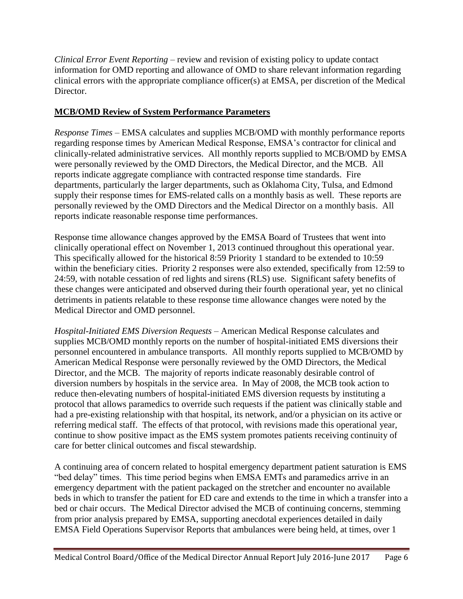*Clinical Error Event Reporting* – review and revision of existing policy to update contact information for OMD reporting and allowance of OMD to share relevant information regarding clinical errors with the appropriate compliance officer(s) at EMSA, per discretion of the Medical Director.

### **MCB/OMD Review of System Performance Parameters**

*Response Times* – EMSA calculates and supplies MCB/OMD with monthly performance reports regarding response times by American Medical Response, EMSA's contractor for clinical and clinically-related administrative services. All monthly reports supplied to MCB/OMD by EMSA were personally reviewed by the OMD Directors, the Medical Director, and the MCB. All reports indicate aggregate compliance with contracted response time standards. Fire departments, particularly the larger departments, such as Oklahoma City, Tulsa, and Edmond supply their response times for EMS-related calls on a monthly basis as well. These reports are personally reviewed by the OMD Directors and the Medical Director on a monthly basis. All reports indicate reasonable response time performances.

Response time allowance changes approved by the EMSA Board of Trustees that went into clinically operational effect on November 1, 2013 continued throughout this operational year. This specifically allowed for the historical 8:59 Priority 1 standard to be extended to 10:59 within the beneficiary cities. Priority 2 responses were also extended, specifically from 12:59 to 24:59, with notable cessation of red lights and sirens (RLS) use. Significant safety benefits of these changes were anticipated and observed during their fourth operational year, yet no clinical detriments in patients relatable to these response time allowance changes were noted by the Medical Director and OMD personnel.

*Hospital-Initiated EMS Diversion Requests* – American Medical Response calculates and supplies MCB/OMD monthly reports on the number of hospital-initiated EMS diversions their personnel encountered in ambulance transports. All monthly reports supplied to MCB/OMD by American Medical Response were personally reviewed by the OMD Directors, the Medical Director, and the MCB. The majority of reports indicate reasonably desirable control of diversion numbers by hospitals in the service area. In May of 2008, the MCB took action to reduce then-elevating numbers of hospital-initiated EMS diversion requests by instituting a protocol that allows paramedics to override such requests if the patient was clinically stable and had a pre-existing relationship with that hospital, its network, and/or a physician on its active or referring medical staff. The effects of that protocol, with revisions made this operational year, continue to show positive impact as the EMS system promotes patients receiving continuity of care for better clinical outcomes and fiscal stewardship.

A continuing area of concern related to hospital emergency department patient saturation is EMS "bed delay" times. This time period begins when EMSA EMTs and paramedics arrive in an emergency department with the patient packaged on the stretcher and encounter no available beds in which to transfer the patient for ED care and extends to the time in which a transfer into a bed or chair occurs. The Medical Director advised the MCB of continuing concerns, stemming from prior analysis prepared by EMSA, supporting anecdotal experiences detailed in daily EMSA Field Operations Supervisor Reports that ambulances were being held, at times, over 1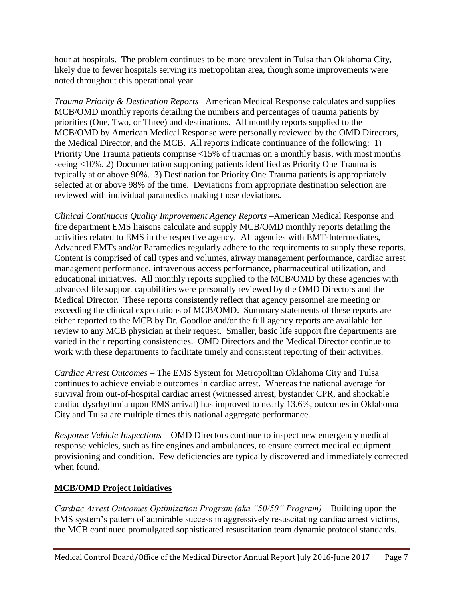hour at hospitals. The problem continues to be more prevalent in Tulsa than Oklahoma City, likely due to fewer hospitals serving its metropolitan area, though some improvements were noted throughout this operational year.

*Trauma Priority & Destination Reports* –American Medical Response calculates and supplies MCB/OMD monthly reports detailing the numbers and percentages of trauma patients by priorities (One, Two, or Three) and destinations. All monthly reports supplied to the MCB/OMD by American Medical Response were personally reviewed by the OMD Directors, the Medical Director, and the MCB. All reports indicate continuance of the following: 1) Priority One Trauma patients comprise <15% of traumas on a monthly basis, with most months seeing <10%. 2) Documentation supporting patients identified as Priority One Trauma is typically at or above 90%. 3) Destination for Priority One Trauma patients is appropriately selected at or above 98% of the time. Deviations from appropriate destination selection are reviewed with individual paramedics making those deviations.

*Clinical Continuous Quality Improvement Agency Reports* –American Medical Response and fire department EMS liaisons calculate and supply MCB/OMD monthly reports detailing the activities related to EMS in the respective agency. All agencies with EMT-Intermediates, Advanced EMTs and/or Paramedics regularly adhere to the requirements to supply these reports. Content is comprised of call types and volumes, airway management performance, cardiac arrest management performance, intravenous access performance, pharmaceutical utilization, and educational initiatives. All monthly reports supplied to the MCB/OMD by these agencies with advanced life support capabilities were personally reviewed by the OMD Directors and the Medical Director. These reports consistently reflect that agency personnel are meeting or exceeding the clinical expectations of MCB/OMD. Summary statements of these reports are either reported to the MCB by Dr. Goodloe and/or the full agency reports are available for review to any MCB physician at their request. Smaller, basic life support fire departments are varied in their reporting consistencies. OMD Directors and the Medical Director continue to work with these departments to facilitate timely and consistent reporting of their activities.

*Cardiac Arrest Outcomes* – The EMS System for Metropolitan Oklahoma City and Tulsa continues to achieve enviable outcomes in cardiac arrest. Whereas the national average for survival from out-of-hospital cardiac arrest (witnessed arrest, bystander CPR, and shockable cardiac dysrhythmia upon EMS arrival) has improved to nearly 13.6%, outcomes in Oklahoma City and Tulsa are multiple times this national aggregate performance.

*Response Vehicle Inspections* – OMD Directors continue to inspect new emergency medical response vehicles, such as fire engines and ambulances, to ensure correct medical equipment provisioning and condition. Few deficiencies are typically discovered and immediately corrected when found.

### **MCB/OMD Project Initiatives**

*Cardiac Arrest Outcomes Optimization Program (aka "50/50" Program) –* Building upon the EMS system's pattern of admirable success in aggressively resuscitating cardiac arrest victims, the MCB continued promulgated sophisticated resuscitation team dynamic protocol standards.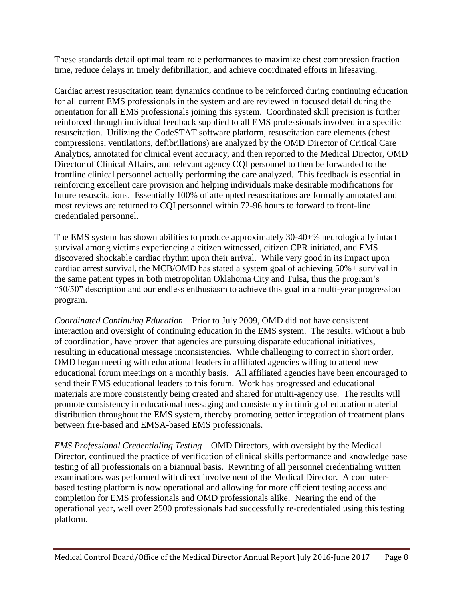These standards detail optimal team role performances to maximize chest compression fraction time, reduce delays in timely defibrillation, and achieve coordinated efforts in lifesaving.

Cardiac arrest resuscitation team dynamics continue to be reinforced during continuing education for all current EMS professionals in the system and are reviewed in focused detail during the orientation for all EMS professionals joining this system. Coordinated skill precision is further reinforced through individual feedback supplied to all EMS professionals involved in a specific resuscitation. Utilizing the CodeSTAT software platform, resuscitation care elements (chest compressions, ventilations, defibrillations) are analyzed by the OMD Director of Critical Care Analytics, annotated for clinical event accuracy, and then reported to the Medical Director, OMD Director of Clinical Affairs, and relevant agency CQI personnel to then be forwarded to the frontline clinical personnel actually performing the care analyzed. This feedback is essential in reinforcing excellent care provision and helping individuals make desirable modifications for future resuscitations. Essentially 100% of attempted resuscitations are formally annotated and most reviews are returned to CQI personnel within 72-96 hours to forward to front-line credentialed personnel.

The EMS system has shown abilities to produce approximately 30-40+% neurologically intact survival among victims experiencing a citizen witnessed, citizen CPR initiated, and EMS discovered shockable cardiac rhythm upon their arrival. While very good in its impact upon cardiac arrest survival, the MCB/OMD has stated a system goal of achieving 50%+ survival in the same patient types in both metropolitan Oklahoma City and Tulsa, thus the program's "50/50" description and our endless enthusiasm to achieve this goal in a multi-year progression program.

*Coordinated Continuing Education* – Prior to July 2009, OMD did not have consistent interaction and oversight of continuing education in the EMS system. The results, without a hub of coordination, have proven that agencies are pursuing disparate educational initiatives, resulting in educational message inconsistencies. While challenging to correct in short order, OMD began meeting with educational leaders in affiliated agencies willing to attend new educational forum meetings on a monthly basis. All affiliated agencies have been encouraged to send their EMS educational leaders to this forum. Work has progressed and educational materials are more consistently being created and shared for multi-agency use. The results will promote consistency in educational messaging and consistency in timing of education material distribution throughout the EMS system, thereby promoting better integration of treatment plans between fire-based and EMSA-based EMS professionals.

*EMS Professional Credentialing Testing* – OMD Directors, with oversight by the Medical Director, continued the practice of verification of clinical skills performance and knowledge base testing of all professionals on a biannual basis. Rewriting of all personnel credentialing written examinations was performed with direct involvement of the Medical Director. A computerbased testing platform is now operational and allowing for more efficient testing access and completion for EMS professionals and OMD professionals alike. Nearing the end of the operational year, well over 2500 professionals had successfully re-credentialed using this testing platform.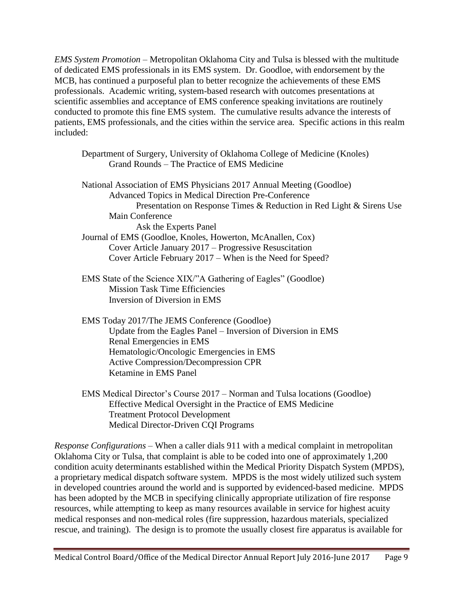*EMS System Promotion* – Metropolitan Oklahoma City and Tulsa is blessed with the multitude of dedicated EMS professionals in its EMS system. Dr. Goodloe, with endorsement by the MCB, has continued a purposeful plan to better recognize the achievements of these EMS professionals. Academic writing, system-based research with outcomes presentations at scientific assemblies and acceptance of EMS conference speaking invitations are routinely conducted to promote this fine EMS system. The cumulative results advance the interests of patients, EMS professionals, and the cities within the service area. Specific actions in this realm included:

| Department of Surgery, University of Oklahoma College of Medicine (Knoles)<br>Grand Rounds - The Practice of EMS Medicine                |
|------------------------------------------------------------------------------------------------------------------------------------------|
| National Association of EMS Physicians 2017 Annual Meeting (Goodloe)<br>Advanced Topics in Medical Direction Pre-Conference              |
| Presentation on Response Times & Reduction in Red Light & Sirens Use                                                                     |
| Main Conference                                                                                                                          |
| Ask the Experts Panel                                                                                                                    |
| Journal of EMS (Goodloe, Knoles, Howerton, McAnallen, Cox)                                                                               |
| Cover Article January 2017 – Progressive Resuscitation                                                                                   |
| Cover Article February 2017 – When is the Need for Speed?                                                                                |
| EMS State of the Science XIX/"A Gathering of Eagles" (Goodloe)<br><b>Mission Task Time Efficiencies</b><br>Inversion of Diversion in EMS |
| EMS Today 2017/The JEMS Conference (Goodloe)                                                                                             |
| Update from the Eagles Panel – Inversion of Diversion in EMS                                                                             |
| Renal Emergencies in EMS                                                                                                                 |
| Hematologic/Oncologic Emergencies in EMS                                                                                                 |
| <b>Active Compression/Decompression CPR</b>                                                                                              |
| Ketamine in EMS Panel                                                                                                                    |
| EMS Medical Director's Course 2017 – Norman and Tulsa locations (Goodloe)<br>$Effcotive Medical Ovonecht in the Dto the$                 |

Effective Medical Oversight in the Practice of EMS Medicine Treatment Protocol Development Medical Director-Driven CQI Programs

*Response Configurations* – When a caller dials 911 with a medical complaint in metropolitan Oklahoma City or Tulsa, that complaint is able to be coded into one of approximately 1,200 condition acuity determinants established within the Medical Priority Dispatch System (MPDS), a proprietary medical dispatch software system. MPDS is the most widely utilized such system in developed countries around the world and is supported by evidenced-based medicine. MPDS has been adopted by the MCB in specifying clinically appropriate utilization of fire response resources, while attempting to keep as many resources available in service for highest acuity medical responses and non-medical roles (fire suppression, hazardous materials, specialized rescue, and training). The design is to promote the usually closest fire apparatus is available for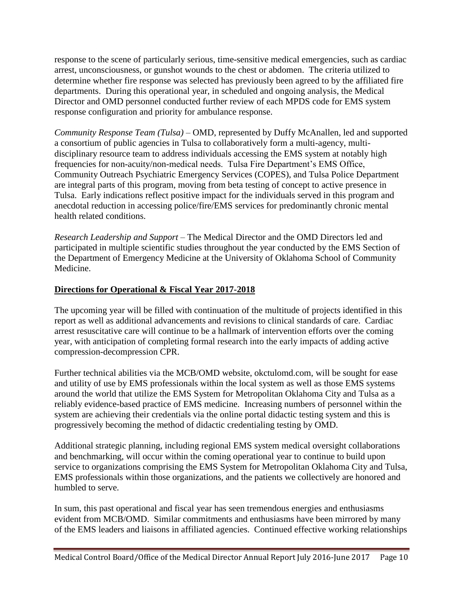response to the scene of particularly serious, time-sensitive medical emergencies, such as cardiac arrest, unconsciousness, or gunshot wounds to the chest or abdomen. The criteria utilized to determine whether fire response was selected has previously been agreed to by the affiliated fire departments. During this operational year, in scheduled and ongoing analysis, the Medical Director and OMD personnel conducted further review of each MPDS code for EMS system response configuration and priority for ambulance response.

*Community Response Team (Tulsa) –* OMD, represented by Duffy McAnallen, led and supported a consortium of public agencies in Tulsa to collaboratively form a multi-agency, multidisciplinary resource team to address individuals accessing the EMS system at notably high frequencies for non-acuity/non-medical needs. Tulsa Fire Department's EMS Office, Community Outreach Psychiatric Emergency Services (COPES), and Tulsa Police Department are integral parts of this program, moving from beta testing of concept to active presence in Tulsa. Early indications reflect positive impact for the individuals served in this program and anecdotal reduction in accessing police/fire/EMS services for predominantly chronic mental health related conditions.

*Research Leadership and Support* – The Medical Director and the OMD Directors led and participated in multiple scientific studies throughout the year conducted by the EMS Section of the Department of Emergency Medicine at the University of Oklahoma School of Community Medicine.

### **Directions for Operational & Fiscal Year 2017-2018**

The upcoming year will be filled with continuation of the multitude of projects identified in this report as well as additional advancements and revisions to clinical standards of care. Cardiac arrest resuscitative care will continue to be a hallmark of intervention efforts over the coming year, with anticipation of completing formal research into the early impacts of adding active compression-decompression CPR.

Further technical abilities via the MCB/OMD website, okctulomd.com, will be sought for ease and utility of use by EMS professionals within the local system as well as those EMS systems around the world that utilize the EMS System for Metropolitan Oklahoma City and Tulsa as a reliably evidence-based practice of EMS medicine. Increasing numbers of personnel within the system are achieving their credentials via the online portal didactic testing system and this is progressively becoming the method of didactic credentialing testing by OMD.

Additional strategic planning, including regional EMS system medical oversight collaborations and benchmarking, will occur within the coming operational year to continue to build upon service to organizations comprising the EMS System for Metropolitan Oklahoma City and Tulsa, EMS professionals within those organizations, and the patients we collectively are honored and humbled to serve.

In sum, this past operational and fiscal year has seen tremendous energies and enthusiasms evident from MCB/OMD. Similar commitments and enthusiasms have been mirrored by many of the EMS leaders and liaisons in affiliated agencies. Continued effective working relationships